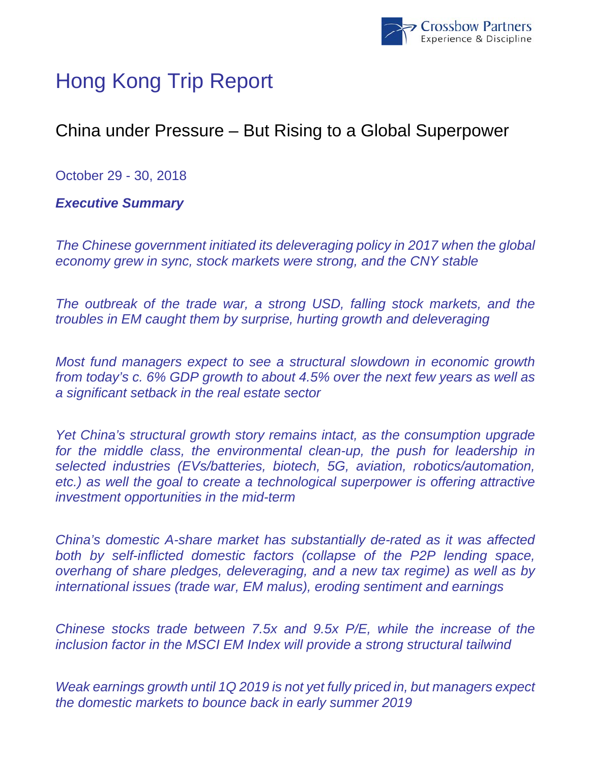

# Hong Kong Trip Report

## China under Pressure – But Rising to a Global Superpower

October 29 - 30, 2018

*Executive Summary* 

*The Chinese government initiated its deleveraging policy in 2017 when the global economy grew in sync, stock markets were strong, and the CNY stable* 

*The outbreak of the trade war, a strong USD, falling stock markets, and the troubles in EM caught them by surprise, hurting growth and deleveraging* 

*Most fund managers expect to see a structural slowdown in economic growth from today's c. 6% GDP growth to about 4.5% over the next few years as well as a significant setback in the real estate sector* 

*Yet China's structural growth story remains intact, as the consumption upgrade*  for the middle class, the environmental clean-up, the push for leadership in *selected industries (EVs/batteries, biotech, 5G, aviation, robotics/automation, etc.) as well the goal to create a technological superpower is offering attractive investment opportunities in the mid-term* 

*China's domestic A-share market has substantially de-rated as it was affected both by self-inflicted domestic factors (collapse of the P2P lending space, overhang of share pledges, deleveraging, and a new tax regime) as well as by international issues (trade war, EM malus), eroding sentiment and earnings* 

*Chinese stocks trade between 7.5x and 9.5x P/E, while the increase of the inclusion factor in the MSCI EM Index will provide a strong structural tailwind* 

*Weak earnings growth until 1Q 2019 is not yet fully priced in, but managers expect the domestic markets to bounce back in early summer 2019*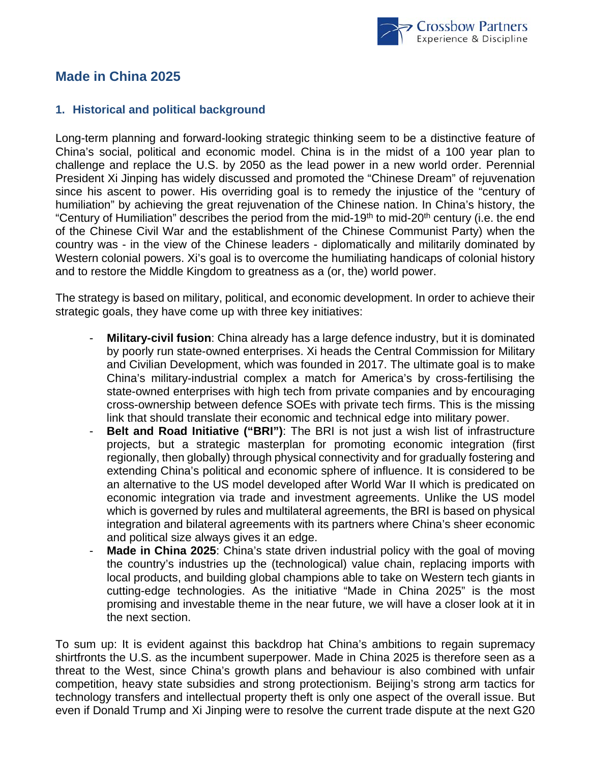

### **Made in China 2025**

#### **1. Historical and political background**

Long-term planning and forward-looking strategic thinking seem to be a distinctive feature of China's social, political and economic model. China is in the midst of a 100 year plan to challenge and replace the U.S. by 2050 as the lead power in a new world order. Perennial President Xi Jinping has widely discussed and promoted the "Chinese Dream" of rejuvenation since his ascent to power. His overriding goal is to remedy the injustice of the "century of humiliation" by achieving the great rejuvenation of the Chinese nation. In China's history, the "Century of Humiliation" describes the period from the mid-19<sup>th</sup> to mid-20<sup>th</sup> century (i.e. the end of the Chinese Civil War and the establishment of the Chinese Communist Party) when the country was - in the view of the Chinese leaders - diplomatically and militarily dominated by Western colonial powers. Xi's goal is to overcome the humiliating handicaps of colonial history and to restore the Middle Kingdom to greatness as a (or, the) world power.

The strategy is based on military, political, and economic development. In order to achieve their strategic goals, they have come up with three key initiatives:

- **Military-civil fusion:** China already has a large defence industry, but it is dominated by poorly run state-owned enterprises. Xi heads the Central Commission for Military and Civilian Development, which was founded in 2017. The ultimate goal is to make China's military-industrial complex a match for America's by cross-fertilising the state-owned enterprises with high tech from private companies and by encouraging cross-ownership between defence SOEs with private tech firms. This is the missing link that should translate their economic and technical edge into military power.
- **Belt and Road Initiative ("BRI")**: The BRI is not just a wish list of infrastructure projects, but a strategic masterplan for promoting economic integration (first regionally, then globally) through physical connectivity and for gradually fostering and extending China's political and economic sphere of influence. It is considered to be an alternative to the US model developed after World War II which is predicated on economic integration via trade and investment agreements. Unlike the US model which is governed by rules and multilateral agreements, the BRI is based on physical integration and bilateral agreements with its partners where China's sheer economic and political size always gives it an edge.
- **Made in China 2025**: China's state driven industrial policy with the goal of moving the country's industries up the (technological) value chain, replacing imports with local products, and building global champions able to take on Western tech giants in cutting-edge technologies. As the initiative "Made in China 2025" is the most promising and investable theme in the near future, we will have a closer look at it in the next section.

To sum up: It is evident against this backdrop hat China's ambitions to regain supremacy shirtfronts the U.S. as the incumbent superpower. Made in China 2025 is therefore seen as a threat to the West, since China's growth plans and behaviour is also combined with unfair competition, heavy state subsidies and strong protectionism. Beijing's strong arm tactics for technology transfers and intellectual property theft is only one aspect of the overall issue. But even if Donald Trump and Xi Jinping were to resolve the current trade dispute at the next G20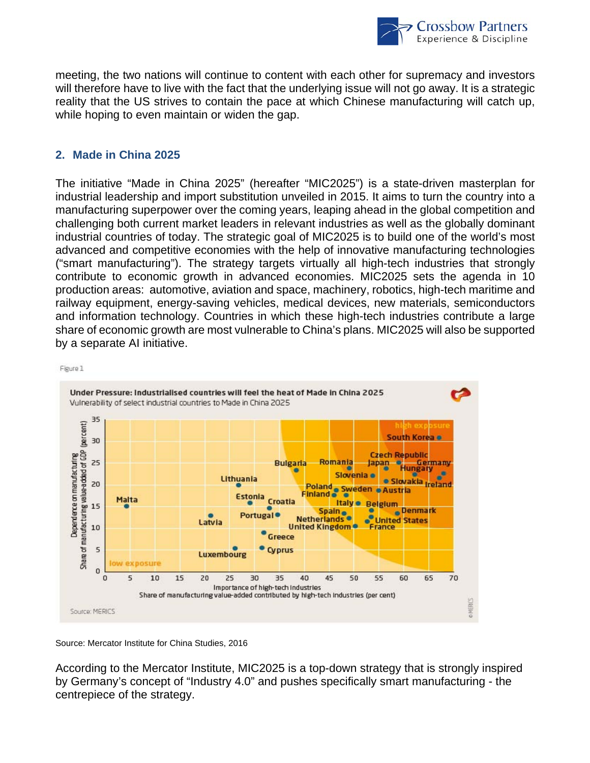

meeting, the two nations will continue to content with each other for supremacy and investors will therefore have to live with the fact that the underlying issue will not go away. It is a strategic reality that the US strives to contain the pace at which Chinese manufacturing will catch up, while hoping to even maintain or widen the gap.

#### **2. Made in China 2025**

The initiative "Made in China 2025" (hereafter "MIC2025") is a state-driven masterplan for industrial leadership and import substitution unveiled in 2015. It aims to turn the country into a manufacturing superpower over the coming years, leaping ahead in the global competition and challenging both current market leaders in relevant industries as well as the globally dominant industrial countries of today. The strategic goal of MIC2025 is to build one of the world's most advanced and competitive economies with the help of innovative manufacturing technologies ("smart manufacturing"). The strategy targets virtually all high-tech industries that strongly contribute to economic growth in advanced economies. MIC2025 sets the agenda in 10 production areas: automotive, aviation and space, machinery, robotics, high-tech maritime and railway equipment, energy-saving vehicles, medical devices, new materials, semiconductors and information technology. Countries in which these high-tech industries contribute a large share of economic growth are most vulnerable to China's plans. MIC2025 will also be supported by a separate AI initiative.



Figure 1

Source: Mercator Institute for China Studies, 2016

According to the Mercator Institute, MIC2025 is a top-down strategy that is strongly inspired by Germany's concept of "Industry 4.0" and pushes specifically smart manufacturing - the centrepiece of the strategy.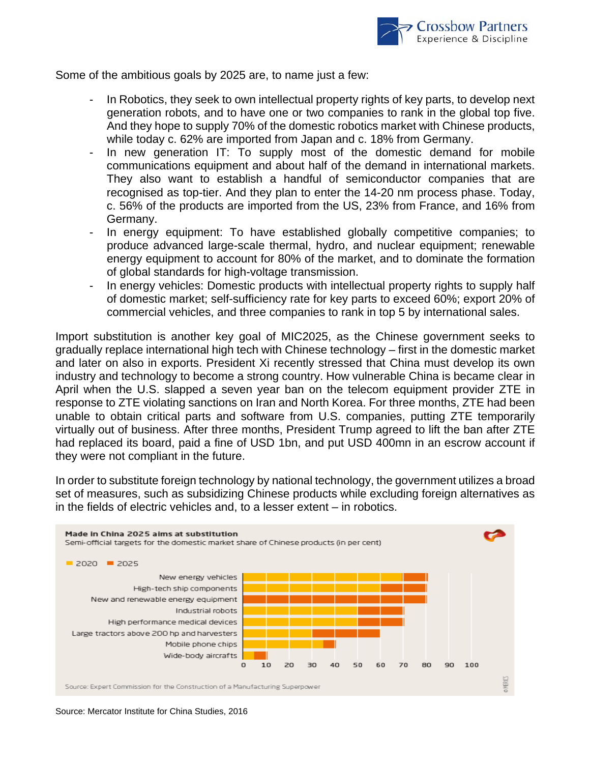

Some of the ambitious goals by 2025 are, to name just a few:

- In Robotics, they seek to own intellectual property rights of key parts, to develop next generation robots, and to have one or two companies to rank in the global top five. And they hope to supply 70% of the domestic robotics market with Chinese products, while today c. 62% are imported from Japan and c. 18% from Germany.
- In new generation IT: To supply most of the domestic demand for mobile communications equipment and about half of the demand in international markets. They also want to establish a handful of semiconductor companies that are recognised as top-tier. And they plan to enter the 14-20 nm process phase. Today, c. 56% of the products are imported from the US, 23% from France, and 16% from Germany.
- In energy equipment: To have established globally competitive companies; to produce advanced large-scale thermal, hydro, and nuclear equipment; renewable energy equipment to account for 80% of the market, and to dominate the formation of global standards for high-voltage transmission.
- In energy vehicles: Domestic products with intellectual property rights to supply half of domestic market; self-sufficiency rate for key parts to exceed 60%; export 20% of commercial vehicles, and three companies to rank in top 5 by international sales.

Import substitution is another key goal of MIC2025, as the Chinese government seeks to gradually replace international high tech with Chinese technology – first in the domestic market and later on also in exports. President Xi recently stressed that China must develop its own industry and technology to become a strong country. How vulnerable China is became clear in April when the U.S. slapped a seven year ban on the telecom equipment provider ZTE in response to ZTE violating sanctions on Iran and North Korea. For three months, ZTE had been unable to obtain critical parts and software from U.S. companies, putting ZTE temporarily virtually out of business. After three months, President Trump agreed to lift the ban after ZTE had replaced its board, paid a fine of USD 1bn, and put USD 400mn in an escrow account if they were not compliant in the future.

In order to substitute foreign technology by national technology, the government utilizes a broad set of measures, such as subsidizing Chinese products while excluding foreign alternatives as in the fields of electric vehicles and, to a lesser extent – in robotics.



Source: Mercator Institute for China Studies, 2016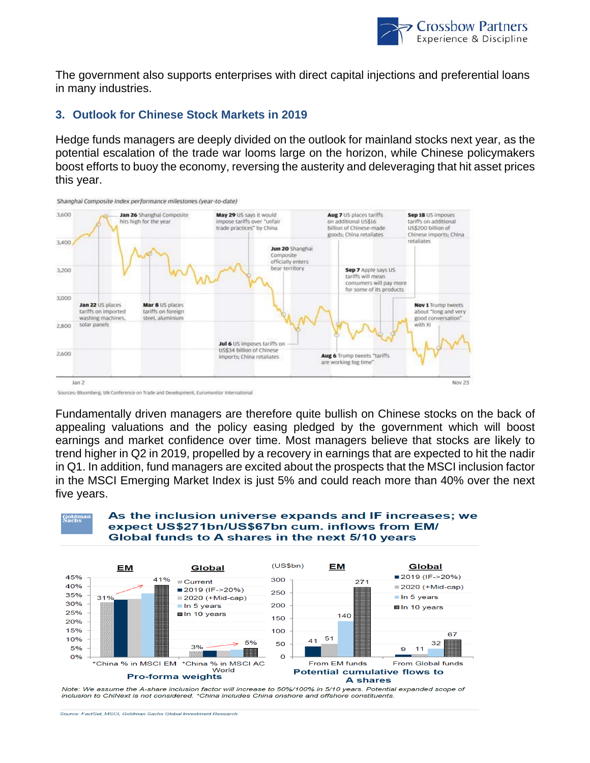

The government also supports enterprises with direct capital injections and preferential loans in many industries.

#### **3. Outlook for Chinese Stock Markets in 2019**

Hedge funds managers are deeply divided on the outlook for mainland stocks next year, as the potential escalation of the trade war looms large on the horizon, while Chinese policymakers boost efforts to buoy the economy, reversing the austerity and deleveraging that hit asset prices this year.



Fundamentally driven managers are therefore quite bullish on Chinese stocks on the back of appealing valuations and the policy easing pledged by the government which will boost earnings and market confidence over time. Most managers believe that stocks are likely to trend higher in Q2 in 2019, propelled by a recovery in earnings that are expected to hit the nadir in Q1. In addition, fund managers are excited about the prospects that the MSCI inclusion factor in the MSCI Emerging Market Index is just 5% and could reach more than 40% over the next five years.



#### As the inclusion universe expands and IF increases; we expect US\$271bn/US\$67bn cum. inflows from EM/ Global funds to A shares in the next 5/10 years



Note: We assume the A-share inclusion factor will increase to 50%/100% in 5/10 years. Potential expanded scope of inclusion to ChiNext is not considered. \*China includes China onshore and offshore constituents.

Source: FactSet, MSCI, Goldman Sachs Global Investment Research